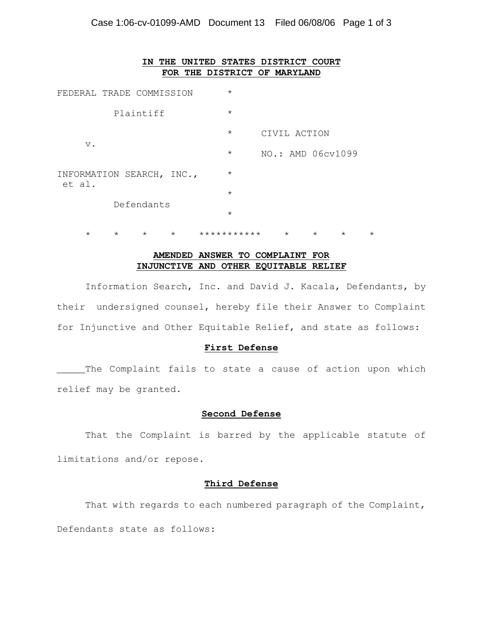| ΙN                                  | THE |         | UNITED STATES DISTRICT COURT |  |
|-------------------------------------|-----|---------|------------------------------|--|
|                                     |     |         | FOR THE DISTRICT OF MARYLAND |  |
| FEDERAL TRADE COMMISSION            |     | $\star$ |                              |  |
| Plaintiff                           |     | $\star$ |                              |  |
| $V$ .                               |     | $\star$ | CIVIL ACTION                 |  |
|                                     |     | $\star$ | NO.: AMD 06cv1099            |  |
| INFORMATION SEARCH, INC.,<br>et al. |     | $\star$ |                              |  |
|                                     |     | $\star$ |                              |  |
| Defendants                          |     | $\star$ |                              |  |

# **AMENDED ANSWER TO COMPLAINT FOR INJUNCTIVE AND OTHER EQUITABLE RELIEF**

\* \* \* \* \*\*\*\*\*\*\*\*\*\*\* \* \* \* \*

 Information Search, Inc. and David J. Kacala, Defendants, by their undersigned counsel, hereby file their Answer to Complaint for Injunctive and Other Equitable Relief, and state as follows:

#### **First Defense**

The Complaint fails to state a cause of action upon which relief may be granted.

## **Second Defense**

That the Complaint is barred by the applicable statute of limitations and/or repose.

## **Third Defense**

That with regards to each numbered paragraph of the Complaint, Defendants state as follows: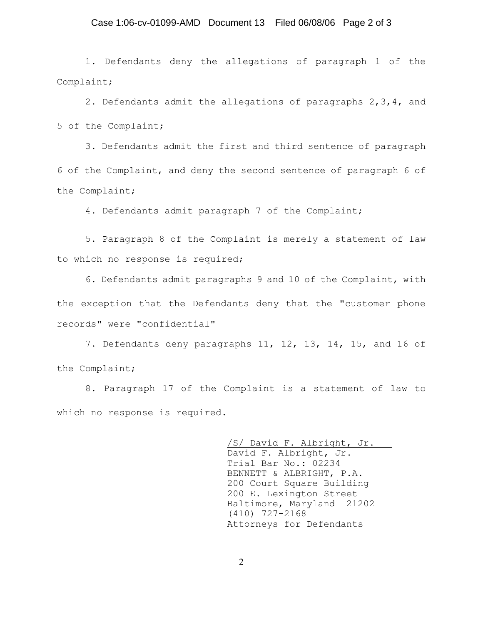#### Case 1:06-cv-01099-AMD Document 13 Filed 06/08/06 Page 2 of 3

1. Defendants deny the allegations of paragraph 1 of the Complaint;

2. Defendants admit the allegations of paragraphs 2,3,4, and 5 of the Complaint;

3. Defendants admit the first and third sentence of paragraph 6 of the Complaint, and deny the second sentence of paragraph 6 of the Complaint;

4. Defendants admit paragraph 7 of the Complaint;

5. Paragraph 8 of the Complaint is merely a statement of law to which no response is required;

6. Defendants admit paragraphs 9 and 10 of the Complaint, with the exception that the Defendants deny that the "customer phone records" were "confidential"

7. Defendants deny paragraphs 11, 12, 13, 14, 15, and 16 of the Complaint;

8. Paragraph 17 of the Complaint is a statement of law to which no response is required.

> /S/ David F. Albright, Jr. David F. Albright, Jr. Trial Bar No.: 02234 BENNETT & ALBRIGHT, P.A. 200 Court Square Building 200 E. Lexington Street Baltimore, Maryland 21202 (410) 727-2168 Attorneys for Defendants

2